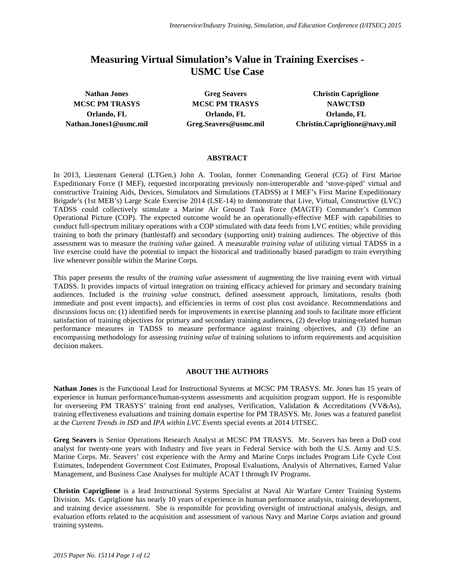# **Measuring Virtual Simulation's Value in Training Exercises - USMC Use Case**

**MCSC PM TRASYS MCSC PM TRASYS NAWCTSD Orlando, FL Orlando, FL Orlando, FL**

**Nathan Jones Greg Seavers Christin Capriglione Nathan.Jones1@usmc.mil Greg.Seavers@usmc.mil Christin.Capriglione@navy.mil**

#### **ABSTRACT**

In 2013, Lieutenant General (LTGen.) John A. Toolan, former Commanding General (CG) of First Marine Expeditionary Force (I MEF), requested incorporating previously non-interoperable and 'stove-piped' virtual and constructive Training Aids, Devices, Simulators and Simulations (TADSS) at I MEF's First Marine Expeditionary Brigade's (1st MEB's) Large Scale Exercise 2014 (LSE-14) to demonstrate that Live, Virtual, Constructive (LVC) TADSS could collectively stimulate a Marine Air Ground Task Force (MAGTF) Commander's Common Operational Picture (COP). The expected outcome would be an operationally-effective MEF with capabilities to conduct full-spectrum military operations with a COP stimulated with data feeds from LVC entities; while providing training to both the primary (battlestaff) and secondary (supporting unit) training audiences. The objective of this assessment was to measure the *training value* gained. A measurable *training value* of utilizing virtual TADSS in a live exercise could have the potential to impact the historical and traditionally biased paradigm to train everything live whenever possible within the Marine Corps.

This paper presents the results of the *training value* assessment of augmenting the live training event with virtual TADSS. It provides impacts of virtual integration on training efficacy achieved for primary and secondary training audiences. Included is the *training value* construct, defined assessment approach, limitations, results (both immediate and post event impacts), and efficiencies in terms of cost plus cost avoidance. Recommendations and discussions focus on: (1) identified needs for improvements in exercise planning and tools to facilitate more efficient satisfaction of training objectives for primary and secondary training audiences, (2) develop training-related human performance measures in TADSS to measure performance against training objectives, and (3) define an encompassing methodology for assessing *training value* of training solutions to inform requirements and acquisition decision makers.

# **ABOUT THE AUTHORS**

**Nathan Jones** is the Functional Lead for Instructional Systems at MCSC PM TRASYS. Mr. Jones has 15 years of experience in human performance/human-systems assessments and acquisition program support. He is responsible for overseeing PM TRASYS' training front end analyses, Verification, Validation & Accreditations (VV&As), training effectiveness evaluations and training domain expertise for PM TRASYS. Mr. Jones was a featured panelist at the *Current Trends in ISD* and *IPA within LVC Events* special events at 2014 I/ITSEC.

**Greg Seavers** is Senior Operations Research Analyst at MCSC PM TRASYS. Mr. Seavers has been a DoD cost analyst for twenty-one years with Industry and five years in Federal Service with both the U.S. Army and U.S. Marine Corps. Mr. Seavers' cost experience with the Army and Marine Corps includes Program Life Cycle Cost Estimates, Independent Government Cost Estimates, Proposal Evaluations, Analysis of Alternatives, Earned Value Management, and Business Case Analyses for multiple ACAT I through IV Programs.

**Christin Capriglione** is a lead Instructional Systems Specialist at Naval Air Warfare Center Training Systems Division. Ms. Capriglione has nearly 10 years of experience in human performance analysis, training development, and training device assessment. She is responsible for providing oversight of instructional analysis, design, and evaluation efforts related to the acquisition and assessment of various Navy and Marine Corps aviation and ground training systems.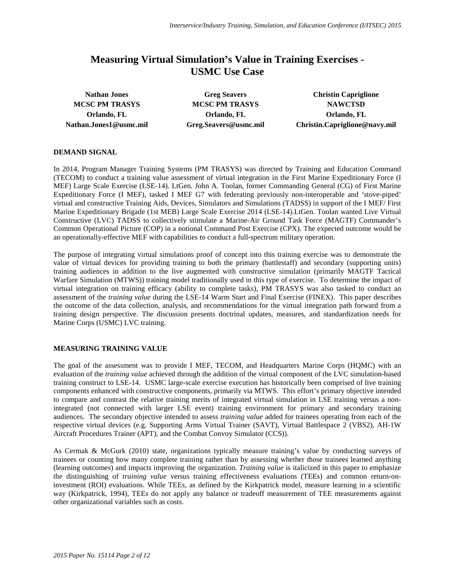# **Measuring Virtual Simulation's Value in Training Exercises - USMC Use Case**

**MCSC PM TRASYS MCSC PM TRASYS NAWCTSD Orlando, FL Orlando, FL Orlando, FL**

**Nathan Jones Greg Seavers Christin Capriglione Nathan.Jones1@usmc.mil Greg.Seavers@usmc.mil Christin.Capriglione@navy.mil**

# **DEMAND SIGNAL**

In 2014, Program Manager Training Systems (PM TRASYS) was directed by Training and Education Command (TECOM) to conduct a training value assessment of virtual integration in the First Marine Expeditionary Force (I MEF) Large Scale Exercise (LSE-14). LtGen. John A. Toolan, former Commanding General (CG) of First Marine Expeditionary Force (I MEF), tasked I MEF G7 with federating previously non-interoperable and 'stove-piped' virtual and constructive Training Aids, Devices, Simulators and Simulations (TADSS) in support of the I MEF/ First Marine Expeditionary Brigade (1st MEB) Large Scale Exercise 2014 (LSE-14).LtGen. Toolan wanted Live Virtual Constructive (LVC) TADSS to collectively stimulate a Marine-Air Ground Task Force (MAGTF) Commander's Common Operational Picture (COP) in a notional Command Post Exercise (CPX). The expected outcome would be an operationally-effective MEF with capabilities to conduct a full-spectrum military operation.

The purpose of integrating virtual simulations proof of concept into this training exercise was to demonstrate the value of virtual devices for providing training to both the primary (battlestaff) and secondary (supporting units) training audiences in addition to the live augmented with constructive simulation (primarily MAGTF Tactical Warfare Simulation (MTWS)) training model traditionally used in this type of exercise. To determine the impact of virtual integration on training efficacy (ability to complete tasks), PM TRASYS was also tasked to conduct an assessment of the *training value* during the LSE-14 Warm Start and Final Exercise (FINEX). This paper describes the outcome of the data collection, analysis, and recommendations for the virtual integration path forward from a training design perspective. The discussion presents doctrinal updates, measures, and standardization needs for Marine Corps (USMC) LVC training.

# **MEASURING TRAINING VALUE**

The goal of the assessment was to provide I MEF, TECOM, and Headquarters Marine Corps (HQMC) with an evaluation of the *training value* achieved through the addition of the virtual component of the LVC simulation-based training construct to LSE-14. USMC large-scale exercise execution has historically been comprised of live training components enhanced with constructive components, primarily via MTWS. This effort's primary objective intended to compare and contrast the relative training merits of integrated virtual simulation in LSE training versus a nonintegrated (not connected with larger LSE event) training environment for primary and secondary training audiences. The secondary objective intended to assess *training value* added for trainees operating from each of the respective virtual devices (e.g. Supporting Arms Virtual Trainer (SAVT), Virtual Battlespace 2 (VBS2), AH-1W Aircraft Procedures Trainer (APT), and the Combat Convoy Simulator (CCS)).

As Cermak & McGurk (2010) state, organizations typically measure training's value by conducting surveys of trainees or counting how many complete training rather than by assessing whether those trainees learned anything (learning outcomes) and impacts improving the organization. *Training value* is italicized in this paper to emphasize the distinguishing of *training value* versus training effectiveness evaluations (TEEs) and common return-oninvestment (ROI) evaluations. While TEEs, as defined by the Kirkpatrick model, measure learning in a scientific way (Kirkpatrick, 1994), TEEs do not apply any balance or tradeoff measurement of TEE measurements against other organizational variables such as costs.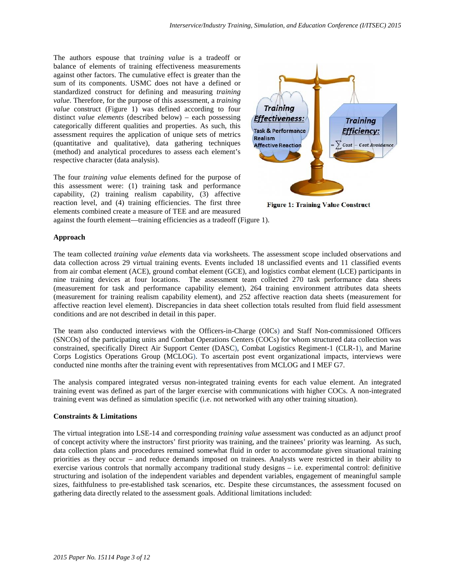The authors espouse that t*raining value* is a tradeoff or balance of elements of training effectiveness measurements against other factors. The cumulative effect is greater than the sum of its components. USMC does not have a defined or standardized construct for defining and measuring *training value*. Therefore, for the purpose of this assessment, a *training value* construct (Figure 1) was defined according to four distinct *value elements* (described below) – each possessing categorically different qualities and properties. As such, this assessment requires the application of unique sets of metrics (quantitative and qualitative), data gathering techniques (method) and analytical procedures to assess each element's respective character (data analysis).

The four *training value* elements defined for the purpose of this assessment were: (1) training task and performance capability, (2) training realism capability, (3) affective reaction level, and (4) training efficiencies. The first three elements combined create a measure of TEE and are measured



**Figure 1: Training Value Construct** 

against the fourth element—training efficiencies as a tradeoff (Figure 1).

# **Approach**

The team collected *training value elements* data via worksheets. The assessment scope included observations and data collection across 29 virtual training events. Events included 18 unclassified events and 11 classified events from air combat element (ACE), ground combat element (GCE), and logistics combat element (LCE) participants in nine training devices at four locations. The assessment team collected 270 task performance data sheets (measurement for task and performance capability element), 264 training environment attributes data sheets (measurement for training realism capability element), and 252 affective reaction data sheets (measurement for affective reaction level element). Discrepancies in data sheet collection totals resulted from fluid field assessment conditions and are not described in detail in this paper.

The team also conducted interviews with the Officers-in-Charge (OICs) and Staff Non-commissioned Officers (SNCOs) of the participating units and Combat Operations Centers (COCs) for whom structured data collection was constrained, specifically Direct Air Support Center (DASC), Combat Logistics Regiment-1 (CLR-1), and Marine Corps Logistics Operations Group (MCLOG). To ascertain post event organizational impacts, interviews were conducted nine months after the training event with representatives from MCLOG and I MEF G7.

The analysis compared integrated versus non-integrated training events for each value element. An integrated training event was defined as part of the larger exercise with communications with higher COCs. A non-integrated training event was defined as simulation specific (i.e. not networked with any other training situation).

# **Constraints & Limitations**

The virtual integration into LSE-14 and corresponding *training value* assessment was conducted as an adjunct proof of concept activity where the instructors' first priority was training, and the trainees' priority was learning. As such, data collection plans and procedures remained somewhat fluid in order to accommodate given situational training priorities as they occur – and reduce demands imposed on trainees. Analysts were restricted in their ability to exercise various controls that normally accompany traditional study designs – i.e. experimental control: definitive structuring and isolation of the independent variables and dependent variables, engagement of meaningful sample sizes, faithfulness to pre-established task scenarios, etc. Despite these circumstances, the assessment focused on gathering data directly related to the assessment goals. Additional limitations included: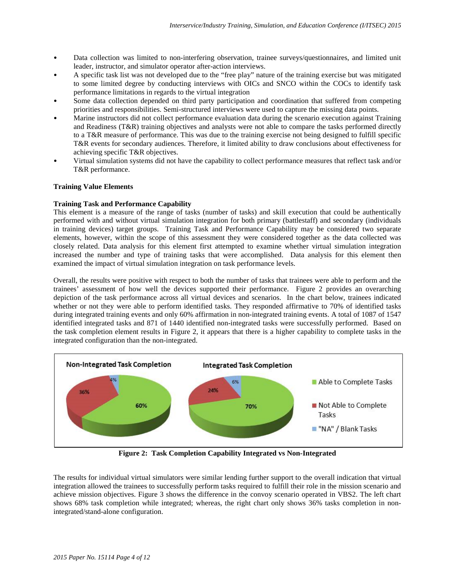- Data collection was limited to non-interfering observation, trainee surveys/questionnaires, and limited unit leader, instructor, and simulator operator after-action interviews.
- A specific task list was not developed due to the "free play" nature of the training exercise but was mitigated to some limited degree by conducting interviews with OICs and SNCO within the COCs to identify task performance limitations in regards to the virtual integration
- Some data collection depended on third party participation and coordination that suffered from competing priorities and responsibilities. Semi-structured interviews were used to capture the missing data points.
- Marine instructors did not collect performance evaluation data during the scenario execution against Training and Readiness (T&R) training objectives and analysts were not able to compare the tasks performed directly to a T&R measure of performance. This was due to the training exercise not being designed to fulfill specific T&R events for secondary audiences. Therefore, it limited ability to draw conclusions about effectiveness for achieving specific T&R objectives.
- Virtual simulation systems did not have the capability to collect performance measures that reflect task and/or T&R performance.

# **Training Value Elements**

# **Training Task and Performance Capability**

This element is a measure of the range of tasks (number of tasks) and skill execution that could be authentically performed with and without virtual simulation integration for both primary (battlestaff) and secondary (individuals in training devices) target groups. Training Task and Performance Capability may be considered two separate elements, however, within the scope of this assessment they were considered together as the data collected was closely related. Data analysis for this element first attempted to examine whether virtual simulation integration increased the number and type of training tasks that were accomplished. Data analysis for this element then examined the impact of virtual simulation integration on task performance levels.

Overall, the results were positive with respect to both the number of tasks that trainees were able to perform and the trainees' assessment of how well the devices supported their performance. Figure 2 provides an overarching depiction of the task performance across all virtual devices and scenarios. In the chart below, trainees indicated whether or not they were able to perform identified tasks. They responded affirmative to 70% of identified tasks during integrated training events and only 60% affirmation in non-integrated training events. A total of 1087 of 1547 identified integrated tasks and 871 of 1440 identified non-integrated tasks were successfully performed. Based on the task completion element results in Figure 2, it appears that there is a higher capability to complete tasks in the integrated configuration than the non-integrated.



**Figure 2: Task Completion Capability Integrated vs Non-Integrated**

The results for individual virtual simulators were similar lending further support to the overall indication that virtual integration allowed the trainees to successfully perform tasks required to fulfill their role in the mission scenario and achieve mission objectives. Figure 3 shows the difference in the convoy scenario operated in VBS2. The left chart shows 68% task completion while integrated; whereas, the right chart only shows 36% tasks completion in nonintegrated/stand-alone configuration.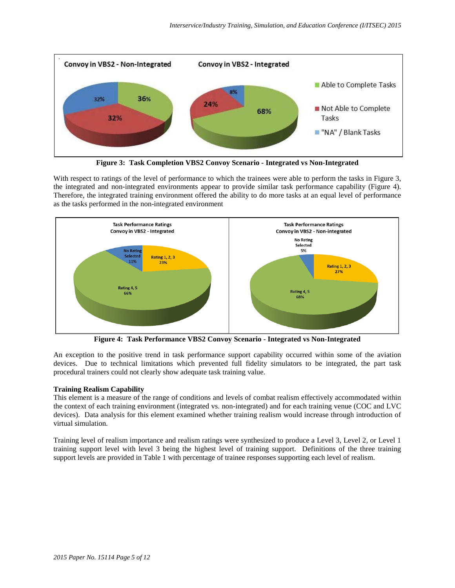

**Figure 3: Task Completion VBS2 Convoy Scenario - Integrated vs Non-Integrated**

With respect to ratings of the level of performance to which the trainees were able to perform the tasks in Figure 3, the integrated and non-integrated environments appear to provide similar task performance capability (Figure 4). Therefore, the integrated training environment offered the ability to do more tasks at an equal level of performance as the tasks performed in the non-integrated environment



**Figure 4: Task Performance VBS2 Convoy Scenario - Integrated vs Non-Integrated**

An exception to the positive trend in task performance support capability occurred within some of the aviation devices. Due to technical limitations which prevented full fidelity simulators to be integrated, the part task procedural trainers could not clearly show adequate task training value.

# **Training Realism Capability**

This element is a measure of the range of conditions and levels of combat realism effectively accommodated within the context of each training environment (integrated vs. non-integrated) and for each training venue (COC and LVC devices). Data analysis for this element examined whether training realism would increase through introduction of virtual simulation.

Training level of realism importance and realism ratings were synthesized to produce a Level 3, Level 2, or Level 1 training support level with level 3 being the highest level of training support. Definitions of the three training support levels are provided in Table 1 with percentage of trainee responses supporting each level of realism.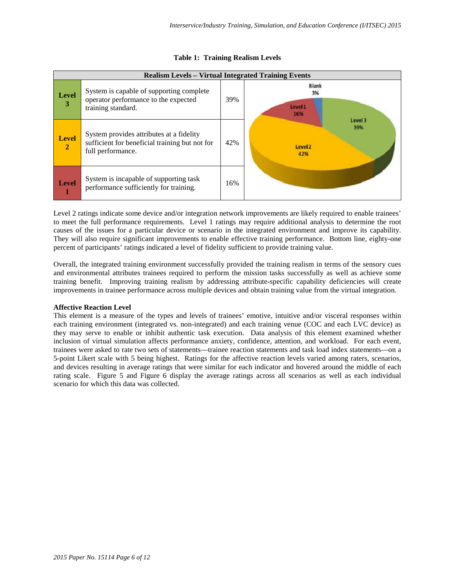| <b>Realism Levels - Virtual Integrated Training Events</b> |                                                                                                                 |     |                                             |  |
|------------------------------------------------------------|-----------------------------------------------------------------------------------------------------------------|-----|---------------------------------------------|--|
| <b>Level</b><br>3                                          | System is capable of supporting complete<br>operator performance to the expected<br>training standard.          | 39% | <b>Blank</b><br>3%<br>Level 1<br>16%        |  |
| <b>Level</b><br>$\overline{2}$                             | System provides attributes at a fidelity<br>sufficient for beneficial training but not for<br>full performance. | 42% | Level 3<br>39%<br>Level <sub>2</sub><br>42% |  |
| <b>Level</b>                                               | System is incapable of supporting task<br>performance sufficiently for training.                                | 16% |                                             |  |

# **Table 1: Training Realism Levels**

Level 2 ratings indicate some device and/or integration network improvements are likely required to enable trainees' to meet the full performance requirements. Level 1 ratings may require additional analysis to determine the root causes of the issues for a particular device or scenario in the integrated environment and improve its capability. They will also require significant improvements to enable effective training performance. Bottom line, eighty-one percent of participants' ratings indicated a level of fidelity sufficient to provide training value.

Overall, the integrated training environment successfully provided the training realism in terms of the sensory cues and environmental attributes trainees required to perform the mission tasks successfully as well as achieve some training benefit. Improving training realism by addressing attribute-specific capability deficiencies will create improvements in trainee performance across multiple devices and obtain training value from the virtual integration.

# **Affective Reaction Level**

This element is a measure of the types and levels of trainees' emotive, intuitive and/or visceral responses within each training environment (integrated vs. non-integrated) and each training venue (COC and each LVC device) as they may serve to enable or inhibit authentic task execution. Data analysis of this element examined whether inclusion of virtual simulation affects performance anxiety, confidence, attention, and workload. For each event, trainees were asked to rate two sets of statements—trainee reaction statements and task load index statements—on a 5-point Likert scale with 5 being highest. Ratings for the affective reaction levels varied among raters, scenarios, and devices resulting in average ratings that were similar for each indicator and hovered around the middle of each rating scale. Figure 5 and Figure 6 display the average ratings across all scenarios as well as each individual scenario for which this data was collected.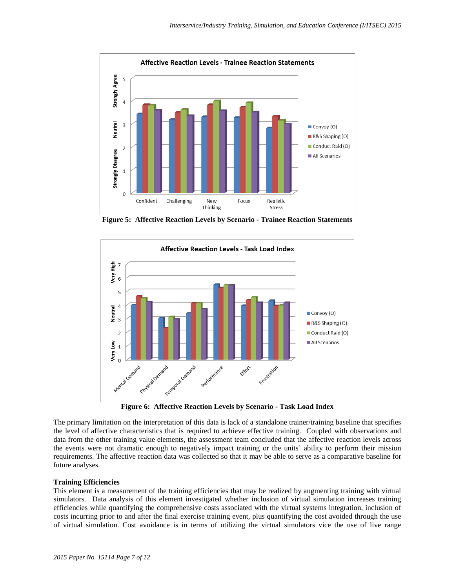

**Figure 5: Affective Reaction Levels by Scenario - Trainee Reaction Statements**



**Figure 6: Affective Reaction Levels by Scenario - Task Load Index**

The primary limitation on the interpretation of this data is lack of a standalone trainer/training baseline that specifies the level of affective characteristics that is required to achieve effective training. Coupled with observations and data from the other training value elements, the assessment team concluded that the affective reaction levels across the events were not dramatic enough to negatively impact training or the units' ability to perform their mission requirements. The affective reaction data was collected so that it may be able to serve as a comparative baseline for future analyses.

# **Training Efficiencies**

This element is a measurement of the training efficiencies that may be realized by augmenting training with virtual simulators. Data analysis of this element investigated whether inclusion of virtual simulation increases training efficiencies while quantifying the comprehensive costs associated with the virtual systems integration, inclusion of costs incurring prior to and after the final exercise training event, plus quantifying the cost avoided through the use of virtual simulation. Cost avoidance is in terms of utilizing the virtual simulators vice the use of live range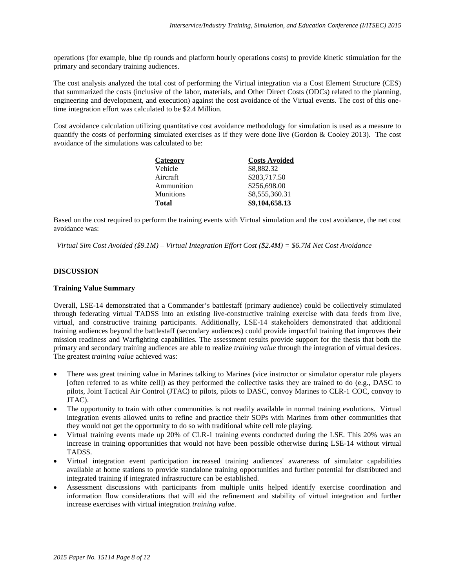operations (for example, blue tip rounds and platform hourly operations costs) to provide kinetic stimulation for the primary and secondary training audiences.

The cost analysis analyzed the total cost of performing the Virtual integration via a Cost Element Structure (CES) that summarized the costs (inclusive of the labor, materials, and Other Direct Costs (ODCs) related to the planning, engineering and development, and execution) against the cost avoidance of the Virtual events. The cost of this onetime integration effort was calculated to be \$2.4 Million.

Cost avoidance calculation utilizing quantitative cost avoidance methodology for simulation is used as a measure to quantify the costs of performing simulated exercises as if they were done live (Gordon & Cooley 2013). The cost avoidance of the simulations was calculated to be:

| Category         | <b>Costs Avoided</b> |
|------------------|----------------------|
| Vehicle          | \$8,882.32           |
| Aircraft         | \$283,717.50         |
| Ammunition       | \$256,698.00         |
| <b>Munitions</b> | \$8,555,360.31       |
| <b>Total</b>     | \$9,104,658.13       |

Based on the cost required to perform the training events with Virtual simulation and the cost avoidance, the net cost avoidance was:

*Virtual Sim Cost Avoided (\$9.1M) – Virtual Integration Effort Cost (\$2.4M) = \$6.7M Net Cost Avoidance*

# **DISCUSSION**

# **Training Value Summary**

Overall, LSE-14 demonstrated that a Commander's battlestaff (primary audience) could be collectively stimulated through federating virtual TADSS into an existing live-constructive training exercise with data feeds from live, virtual, and constructive training participants. Additionally, LSE-14 stakeholders demonstrated that additional training audiences beyond the battlestaff (secondary audiences) could provide impactful training that improves their mission readiness and Warfighting capabilities. The assessment results provide support for the thesis that both the primary and secondary training audiences are able to realize *training value* through the integration of virtual devices. The greatest *training value* achieved was:

- There was great training value in Marines talking to Marines (vice instructor or simulator operator role players [often referred to as white cell]) as they performed the collective tasks they are trained to do (e.g., DASC to pilots, Joint Tactical Air Control (JTAC) to pilots, pilots to DASC, convoy Marines to CLR-1 COC, convoy to JTAC).
- The opportunity to train with other communities is not readily available in normal training evolutions. Virtual integration events allowed units to refine and practice their SOPs with Marines from other communities that they would not get the opportunity to do so with traditional white cell role playing.
- Virtual training events made up 20% of CLR-1 training events conducted during the LSE. This 20% was an increase in training opportunities that would not have been possible otherwise during LSE-14 without virtual TADSS.
- Virtual integration event participation increased training audiences' awareness of simulator capabilities available at home stations to provide standalone training opportunities and further potential for distributed and integrated training if integrated infrastructure can be established.
- Assessment discussions with participants from multiple units helped identify exercise coordination and information flow considerations that will aid the refinement and stability of virtual integration and further increase exercises with virtual integration *training value*.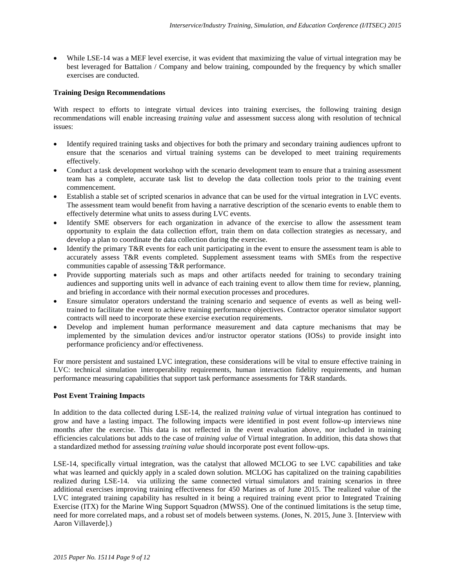• While LSE-14 was a MEF level exercise, it was evident that maximizing the value of virtual integration may be best leveraged for Battalion / Company and below training, compounded by the frequency by which smaller exercises are conducted.

# **Training Design Recommendations**

With respect to efforts to integrate virtual devices into training exercises, the following training design recommendations will enable increasing *training value* and assessment success along with resolution of technical issues:

- Identify required training tasks and objectives for both the primary and secondary training audiences upfront to ensure that the scenarios and virtual training systems can be developed to meet training requirements effectively.
- Conduct a task development workshop with the scenario development team to ensure that a training assessment team has a complete, accurate task list to develop the data collection tools prior to the training event commencement.
- Establish a stable set of scripted scenarios in advance that can be used for the virtual integration in LVC events. The assessment team would benefit from having a narrative description of the scenario events to enable them to effectively determine what units to assess during LVC events.
- Identify SME observers for each organization in advance of the exercise to allow the assessment team opportunity to explain the data collection effort, train them on data collection strategies as necessary, and develop a plan to coordinate the data collection during the exercise.
- Identify the primary T&R events for each unit participating in the event to ensure the assessment team is able to accurately assess T&R events completed. Supplement assessment teams with SMEs from the respective communities capable of assessing T&R performance.
- Provide supporting materials such as maps and other artifacts needed for training to secondary training audiences and supporting units well in advance of each training event to allow them time for review, planning, and briefing in accordance with their normal execution processes and procedures.
- Ensure simulator operators understand the training scenario and sequence of events as well as being welltrained to facilitate the event to achieve training performance objectives. Contractor operator simulator support contracts will need to incorporate these exercise execution requirements.
- Develop and implement human performance measurement and data capture mechanisms that may be implemented by the simulation devices and/or instructor operator stations (IOSs) to provide insight into performance proficiency and/or effectiveness.

For more persistent and sustained LVC integration, these considerations will be vital to ensure effective training in LVC: technical simulation interoperability requirements, human interaction fidelity requirements, and human performance measuring capabilities that support task performance assessments for T&R standards.

# **Post Event Training Impacts**

In addition to the data collected during LSE-14, the realized *training value* of virtual integration has continued to grow and have a lasting impact. The following impacts were identified in post event follow-up interviews nine months after the exercise. This data is not reflected in the event evaluation above, nor included in training efficiencies calculations but adds to the case of *training value* of Virtual integration. In addition, this data shows that a standardized method for assessing *training value* should incorporate post event follow-ups.

LSE-14, specifically virtual integration, was the catalyst that allowed MCLOG to see LVC capabilities and take what was learned and quickly apply in a scaled down solution. MCLOG has capitalized on the training capabilities realized during LSE-14. via utilizing the same connected virtual simulators and training scenarios in three additional exercises improving training effectiveness for 450 Marines as of June 2015. The realized value of the LVC integrated training capability has resulted in it being a required training event prior to Integrated Training Exercise (ITX) for the Marine Wing Support Squadron (MWSS). One of the continued limitations is the setup time, need for more correlated maps, and a robust set of models between systems. (Jones, N. 2015, June 3. [Interview with Aaron Villaverde].)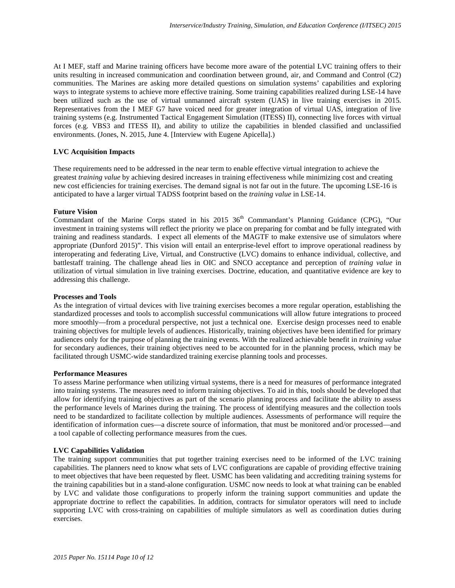At I MEF, staff and Marine training officers have become more aware of the potential LVC training offers to their units resulting in increased communication and coordination between ground, air, and Command and Control (C2) communities. The Marines are asking more detailed questions on simulation systems' capabilities and exploring ways to integrate systems to achieve more effective training. Some training capabilities realized during LSE-14 have been utilized such as the use of virtual unmanned aircraft system (UAS) in live training exercises in 2015. Representatives from the I MEF G7 have voiced need for greater integration of virtual UAS, integration of live training systems (e.g. Instrumented Tactical Engagement Simulation (ITESS) II), connecting live forces with virtual forces (e.g. VBS3 and ITESS II), and ability to utilize the capabilities in blended classified and unclassified environments. (Jones, N. 2015, June 4. [Interview with Eugene Apicella].)

# **LVC Acquisition Impacts**

These requirements need to be addressed in the near term to enable effective virtual integration to achieve the greatest *training value* by achieving desired increases in training effectiveness while minimizing cost and creating new cost efficiencies for training exercises. The demand signal is not far out in the future. The upcoming LSE-16 is anticipated to have a larger virtual TADSS footprint based on the *training value* in LSE-14.

#### **Future Vision**

Commandant of the Marine Corps stated in his 2015 36<sup>th</sup> Commandant's Planning Guidance (CPG), "Our investment in training systems will reflect the priority we place on preparing for combat and be fully integrated with training and readiness standards. I expect all elements of the MAGTF to make extensive use of simulators where appropriate (Dunford 2015)". This vision will entail an enterprise-level effort to improve operational readiness by interoperating and federating Live, Virtual, and Constructive (LVC) domains to enhance individual, collective, and battlestaff training. The challenge ahead lies in OIC and SNCO acceptance and perception of *training value* in utilization of virtual simulation in live training exercises. Doctrine, education, and quantitative evidence are key to addressing this challenge.

#### **Processes and Tools**

As the integration of virtual devices with live training exercises becomes a more regular operation, establishing the standardized processes and tools to accomplish successful communications will allow future integrations to proceed more smoothly—from a procedural perspective, not just a technical one. Exercise design processes need to enable training objectives for multiple levels of audiences. Historically, training objectives have been identified for primary audiences only for the purpose of planning the training events. With the realized achievable benefit in *training value* for secondary audiences, their training objectives need to be accounted for in the planning process, which may be facilitated through USMC-wide standardized training exercise planning tools and processes.

# **Performance Measures**

To assess Marine performance when utilizing virtual systems, there is a need for measures of performance integrated into training systems. The measures need to inform training objectives. To aid in this, tools should be developed that allow for identifying training objectives as part of the scenario planning process and facilitate the ability to assess the performance levels of Marines during the training. The process of identifying measures and the collection tools need to be standardized to facilitate collection by multiple audiences. Assessments of performance will require the identification of information cues—a discrete source of information, that must be monitored and/or processed—and a tool capable of collecting performance measures from the cues.

# **LVC Capabilities Validation**

The training support communities that put together training exercises need to be informed of the LVC training capabilities. The planners need to know what sets of LVC configurations are capable of providing effective training to meet objectives that have been requested by fleet. USMC has been validating and accrediting training systems for the training capabilities but in a stand-alone configuration. USMC now needs to look at what training can be enabled by LVC and validate those configurations to properly inform the training support communities and update the appropriate doctrine to reflect the capabilities. In addition, contracts for simulator operators will need to include supporting LVC with cross-training on capabilities of multiple simulators as well as coordination duties during exercises.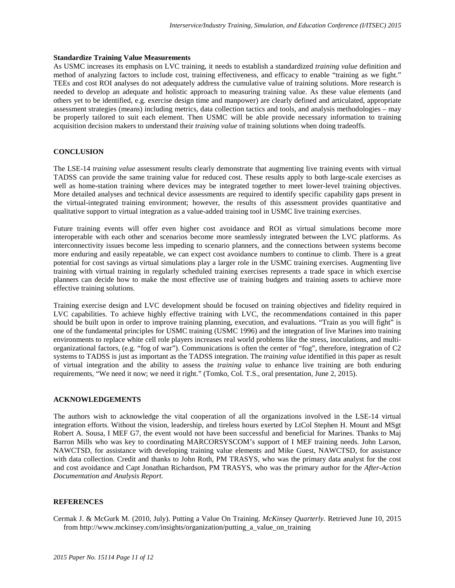# **Standardize Training Value Measurements**

As USMC increases its emphasis on LVC training, it needs to establish a standardized *training value* definition and method of analyzing factors to include cost, training effectiveness, and efficacy to enable "training as we fight." TEEs and cost ROI analyses do not adequately address the cumulative value of training solutions. More research is needed to develop an adequate and holistic approach to measuring training value. As these value elements (and others yet to be identified, e.g. exercise design time and manpower) are clearly defined and articulated, appropriate assessment strategies (means) including metrics, data collection tactics and tools, and analysis methodologies – may be properly tailored to suit each element. Then USMC will be able provide necessary information to training acquisition decision makers to understand their *training value* of training solutions when doing tradeoffs.

# **CONCLUSION**

The LSE-14 *training value* assessment results clearly demonstrate that augmenting live training events with virtual TADSS can provide the same training value for reduced cost. These results apply to both large-scale exercises as well as home-station training where devices may be integrated together to meet lower-level training objectives. More detailed analyses and technical device assessments are required to identify specific capability gaps present in the virtual-integrated training environment; however, the results of this assessment provides quantitative and qualitative support to virtual integration as a value-added training tool in USMC live training exercises.

Future training events will offer even higher cost avoidance and ROI as virtual simulations become more interoperable with each other and scenarios become more seamlessly integrated between the LVC platforms. As interconnectivity issues become less impeding to scenario planners, and the connections between systems become more enduring and easily repeatable, we can expect cost avoidance numbers to continue to climb. There is a great potential for cost savings as virtual simulations play a larger role in the USMC training exercises. Augmenting live training with virtual training in regularly scheduled training exercises represents a trade space in which exercise planners can decide how to make the most effective use of training budgets and training assets to achieve more effective training solutions.

Training exercise design and LVC development should be focused on training objectives and fidelity required in LVC capabilities. To achieve highly effective training with LVC, the recommendations contained in this paper should be built upon in order to improve training planning, execution, and evaluations. "Train as you will fight" is one of the fundamental principles for USMC training (USMC 1996) and the integration of live Marines into training environments to replace white cell role players increases real world problems like the stress, inoculations, and multiorganizational factors, (e.g. "fog of war"). Communications is often the center of "fog", therefore, integration of C2 systems to TADSS is just as important as the TADSS integration. The *training value* identified in this paper as result of virtual integration and the ability to assess the *training value* to enhance live training are both enduring requirements, "We need it now; we need it right." (Tomko, Col. T.S., oral presentation, June 2, 2015).

#### **ACKNOWLEDGEMENTS**

The authors wish to acknowledge the vital cooperation of all the organizations involved in the LSE-14 virtual integration efforts. Without the vision, leadership, and tireless hours exerted by LtCol Stephen H. Mount and MSgt Robert A. Sousa, I MEF G7, the event would not have been successful and beneficial for Marines. Thanks to Maj Barron Mills who was key to coordinating MARCORSYSCOM's support of I MEF training needs. John Larson, NAWCTSD, for assistance with developing training value elements and Mike Guest, NAWCTSD, for assistance with data collection. Credit and thanks to John Roth, PM TRASYS, who was the primary data analyst for the cost and cost avoidance and Capt Jonathan Richardson, PM TRASYS, who was the primary author for the *After-Action Documentation and Analysis Report*.

# **REFERENCES**

Cermak J. & McGurk M. (2010, July). Putting a Value On Training. *McKinsey Quarterly.* Retrieved June 10, 2015 from http://www.mckinsey.com/insights/organization/putting\_a\_value\_on\_training